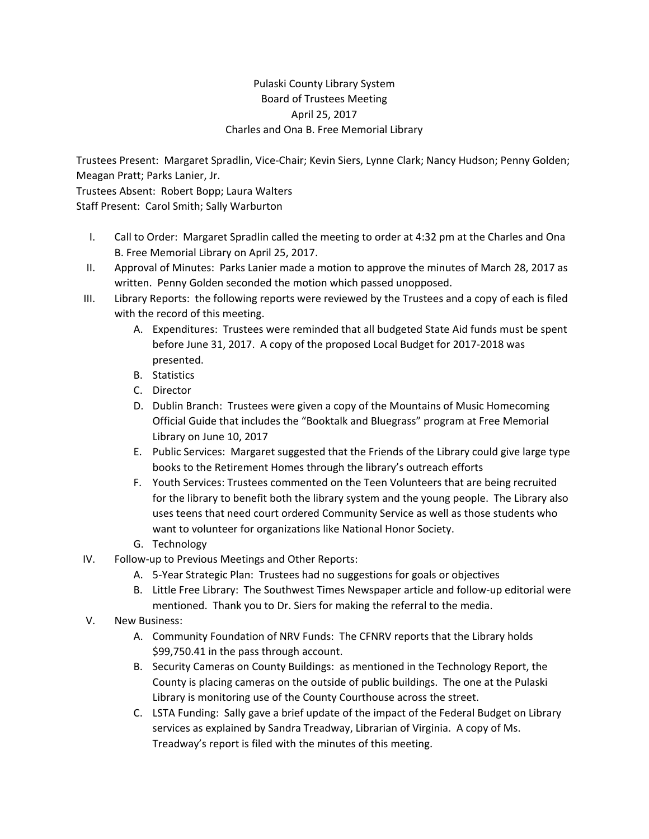## Pulaski County Library System Board of Trustees Meeting April 25, 2017 Charles and Ona B. Free Memorial Library

Trustees Present: Margaret Spradlin, Vice‐Chair; Kevin Siers, Lynne Clark; Nancy Hudson; Penny Golden; Meagan Pratt; Parks Lanier, Jr.

Trustees Absent: Robert Bopp; Laura Walters Staff Present: Carol Smith; Sally Warburton

- I. Call to Order: Margaret Spradlin called the meeting to order at 4:32 pm at the Charles and Ona B. Free Memorial Library on April 25, 2017.
- II. Approval of Minutes: Parks Lanier made a motion to approve the minutes of March 28, 2017 as written. Penny Golden seconded the motion which passed unopposed.
- III. Library Reports: the following reports were reviewed by the Trustees and a copy of each is filed with the record of this meeting.
	- A. Expenditures: Trustees were reminded that all budgeted State Aid funds must be spent before June 31, 2017. A copy of the proposed Local Budget for 2017‐2018 was presented.
	- B. Statistics
	- C. Director
	- D. Dublin Branch: Trustees were given a copy of the Mountains of Music Homecoming Official Guide that includes the "Booktalk and Bluegrass" program at Free Memorial Library on June 10, 2017
	- E. Public Services: Margaret suggested that the Friends of the Library could give large type books to the Retirement Homes through the library's outreach efforts
	- F. Youth Services: Trustees commented on the Teen Volunteers that are being recruited for the library to benefit both the library system and the young people. The Library also uses teens that need court ordered Community Service as well as those students who want to volunteer for organizations like National Honor Society.
	- G. Technology
- IV. Follow‐up to Previous Meetings and Other Reports:
	- A. 5‐Year Strategic Plan: Trustees had no suggestions for goals or objectives
	- B. Little Free Library: The Southwest Times Newspaper article and follow‐up editorial were mentioned. Thank you to Dr. Siers for making the referral to the media.
- V. New Business:
	- A. Community Foundation of NRV Funds: The CFNRV reports that the Library holds \$99,750.41 in the pass through account.
	- B. Security Cameras on County Buildings: as mentioned in the Technology Report, the County is placing cameras on the outside of public buildings. The one at the Pulaski Library is monitoring use of the County Courthouse across the street.
	- C. LSTA Funding: Sally gave a brief update of the impact of the Federal Budget on Library services as explained by Sandra Treadway, Librarian of Virginia. A copy of Ms. Treadway's report is filed with the minutes of this meeting.